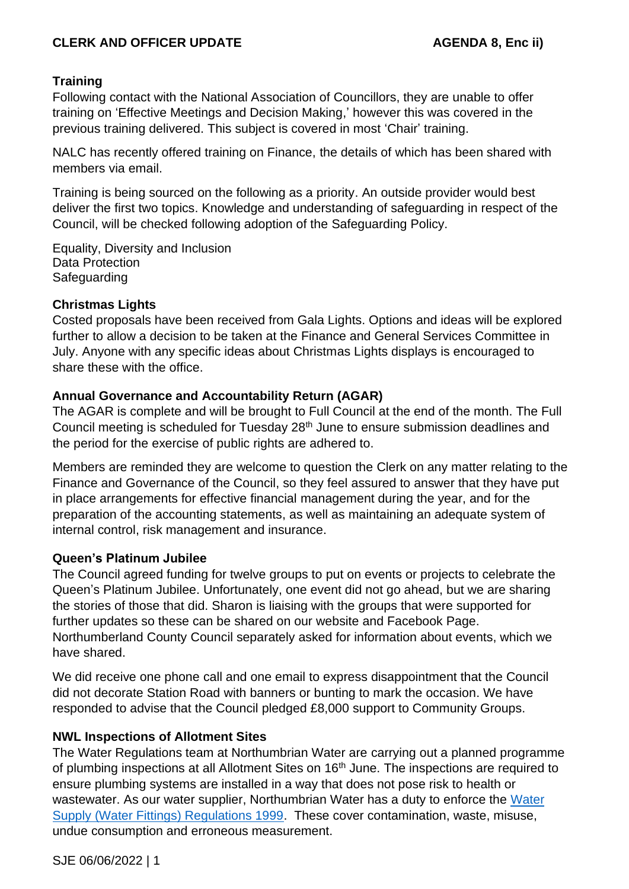## **CLERK AND OFFICER UPDATE AGENDA 8, Enc ii)**

### **Training**

Following contact with the National Association of Councillors, they are unable to offer training on 'Effective Meetings and Decision Making,' however this was covered in the previous training delivered. This subject is covered in most 'Chair' training.

NALC has recently offered training on Finance, the details of which has been shared with members via email.

Training is being sourced on the following as a priority. An outside provider would best deliver the first two topics. Knowledge and understanding of safeguarding in respect of the Council, will be checked following adoption of the Safeguarding Policy.

Equality, Diversity and Inclusion Data Protection **Safeguarding** 

### **Christmas Lights**

Costed proposals have been received from Gala Lights. Options and ideas will be explored further to allow a decision to be taken at the Finance and General Services Committee in July. Anyone with any specific ideas about Christmas Lights displays is encouraged to share these with the office.

### **Annual Governance and Accountability Return (AGAR)**

The AGAR is complete and will be brought to Full Council at the end of the month. The Full Council meeting is scheduled for Tuesday 28<sup>th</sup> June to ensure submission deadlines and the period for the exercise of public rights are adhered to.

Members are reminded they are welcome to question the Clerk on any matter relating to the Finance and Governance of the Council, so they feel assured to answer that they have put in place arrangements for effective financial management during the year, and for the preparation of the accounting statements, as well as maintaining an adequate system of internal control, risk management and insurance.

### **Queen's Platinum Jubilee**

The Council agreed funding for twelve groups to put on events or projects to celebrate the Queen's Platinum Jubilee. Unfortunately, one event did not go ahead, but we are sharing the stories of those that did. Sharon is liaising with the groups that were supported for further updates so these can be shared on our website and Facebook Page. Northumberland County Council separately asked for information about events, which we have shared.

We did receive one phone call and one email to express disappointment that the Council did not decorate Station Road with banners or bunting to mark the occasion. We have responded to advise that the Council pledged £8,000 support to Community Groups.

## **NWL Inspections of Allotment Sites**

The Water Regulations team at Northumbrian Water are carrying out a planned programme of plumbing inspections at all Allotment Sites on 16<sup>th</sup> June. The inspections are required to ensure plumbing systems are installed in a way that does not pose risk to health or wastewater. As our water supplier, Northumbrian Water has a duty to enforce the [Water](https://www.legislation.gov.uk/uksi/1999/1148/contents/made)  [Supply \(Water Fittings\) Regulations 1999.](https://www.legislation.gov.uk/uksi/1999/1148/contents/made) These cover contamination, waste, misuse, undue consumption and erroneous measurement.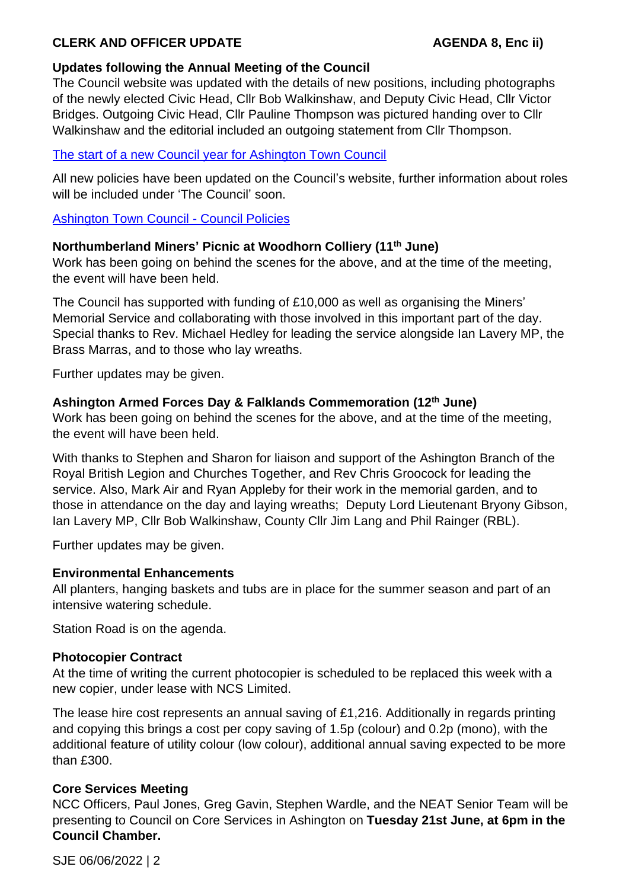# **CLERK AND OFFICER UPDATE AGENDA 8, Enc ii**)

### **Updates following the Annual Meeting of the Council**

The Council website was updated with the details of new positions, including photographs of the newly elected Civic Head, Cllr Bob Walkinshaw, and Deputy Civic Head, Cllr Victor Bridges. Outgoing Civic Head, Cllr Pauline Thompson was pictured handing over to Cllr Walkinshaw and the editorial included an outgoing statement from Cllr Thompson.

### [The start of a new Council year for Ashington Town Council](https://www.ashingtontowncouncil.gov.uk/news/news.php?s=2022-05-18-the-start-of-a-new-council-year-for-ashington-town-council)

All new policies have been updated on the Council's website, further information about roles will be included under 'The Council' soon.

### [Ashington Town Council -](https://www.ashingtontowncouncil.gov.uk/council-policies.php) Council Policies

### **Northumberland Miners' Picnic at Woodhorn Colliery (11th June)**

Work has been going on behind the scenes for the above, and at the time of the meeting. the event will have been held.

The Council has supported with funding of £10,000 as well as organising the Miners' Memorial Service and collaborating with those involved in this important part of the day. Special thanks to Rev. Michael Hedley for leading the service alongside Ian Lavery MP, the Brass Marras, and to those who lay wreaths.

Further updates may be given.

### **Ashington Armed Forces Day & Falklands Commemoration (12th June)**

Work has been going on behind the scenes for the above, and at the time of the meeting, the event will have been held.

With thanks to Stephen and Sharon for liaison and support of the Ashington Branch of the Royal British Legion and Churches Together, and Rev Chris Groocock for leading the service. Also, Mark Air and Ryan Appleby for their work in the memorial garden, and to those in attendance on the day and laying wreaths; Deputy Lord Lieutenant Bryony Gibson, Ian Lavery MP, Cllr Bob Walkinshaw, County Cllr Jim Lang and Phil Rainger (RBL).

Further updates may be given.

### **Environmental Enhancements**

All planters, hanging baskets and tubs are in place for the summer season and part of an intensive watering schedule.

Station Road is on the agenda.

### **Photocopier Contract**

At the time of writing the current photocopier is scheduled to be replaced this week with a new copier, under lease with NCS Limited.

The lease hire cost represents an annual saving of £1,216. Additionally in regards printing and copying this brings a cost per copy saving of 1.5p (colour) and 0.2p (mono), with the additional feature of utility colour (low colour), additional annual saving expected to be more than £300.

### **Core Services Meeting**

NCC Officers, Paul Jones, Greg Gavin, Stephen Wardle, and the NEAT Senior Team will be presenting to Council on Core Services in Ashington on **Tuesday 21st June, at 6pm in the Council Chamber.** 

SJE 06/06/2022 | 2